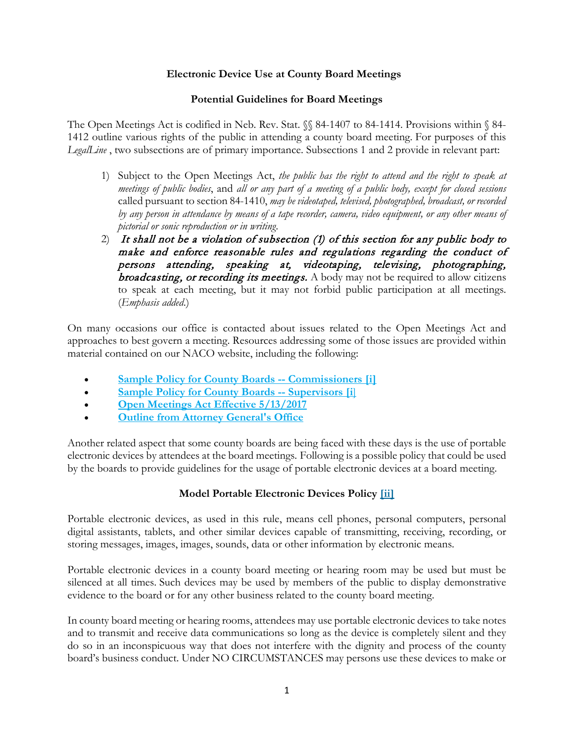## **Electronic Device Use at County Board Meetings**

## **Potential Guidelines for Board Meetings**

The Open Meetings Act is codified in Neb. Rev. Stat.  $\%$  84-1407 to 84-1414. Provisions within  $\%$  84-1412 outline various rights of the public in attending a county board meeting. For purposes of this *LegalLine* , two subsections are of primary importance. Subsections 1 and 2 provide in relevant part:

- 1) Subject to the Open Meetings Act, *the public has the right to attend and the right to speak at meetings of public bodies*, and *all or any part of a meeting of a public body, except for closed sessions*  called pursuant to section 84-1410, *may be videotaped, televised, photographed, broadcast, or recorded by any person in attendance by means of a tape recorder, camera, video equipment, or any other means of pictorial or sonic reproduction or in writing*.
- 2) It shall not be a violation of subsection (1) of this section for any public body to make and enforce reasonable rules and regulations regarding the conduct of persons attending, speaking at, videotaping, televising, photographing, broadcasting, or recording its meetings. A body may not be required to allow citizens to speak at each meeting, but it may not forbid public participation at all meetings. (*Emphasis added*.)

On many occasions our office is contacted about issues related to the Open Meetings Act and approaches to best govern a meeting. Resources addressing some of those issues are provided within material contained on our NACO website, including the following:

- **[Sample Policy for County Boards --](http://nacone.org/pdfs/counties/commpol.pdf) Commissioners [\[i\]](https://myemail.constantcontact.com/NACO-E-Line.html?soid=1104412315568&aid=mG4C2eX3KBk#_edn1)**
- **[Sample Policy for County Boards --](http://nacone.org/pdfs/counties/suppol.pdf) Supervisors [\[i](https://myemail.constantcontact.com/NACO-E-Line.html?soid=1104412315568&aid=mG4C2eX3KBk#_edn2)**[\]](https://myemail.constantcontact.com/NACO-E-Line.html?soid=1104412315568&aid=mG4C2eX3KBk#_edn2)
- **[Open Meetings Act Effective 5/13/2017](http://nacone.org/pdfs/publications/Open_Meetings_Act_5-13-2017.pdf)**
- **<u>[Outline from Attorney General's Office](https://ago.nebraska.gov/open-meetings)</u>**

Another related aspect that some county boards are being faced with these days is the use of portable electronic devices by attendees at the board meetings. Following is a possible policy that could be used by the boards to provide guidelines for the usage of portable electronic devices at a board meeting.

## **Model Portable Electronic Devices Policy [\[ii\]](https://myemail.constantcontact.com/NACO-E-Line.html?soid=1104412315568&aid=mG4C2eX3KBk#_edn1)**

Portable electronic devices, as used in this rule, means cell phones, personal computers, personal digital assistants, tablets, and other similar devices capable of transmitting, receiving, recording, or storing messages, images, images, sounds, data or other information by electronic means.

Portable electronic devices in a county board meeting or hearing room may be used but must be silenced at all times. Such devices may be used by members of the public to display demonstrative evidence to the board or for any other business related to the county board meeting.

In county board meeting or hearing rooms, attendees may use portable electronic devices to take notes and to transmit and receive data communications so long as the device is completely silent and they do so in an inconspicuous way that does not interfere with the dignity and process of the county board's business conduct. Under NO CIRCUMSTANCES may persons use these devices to make or